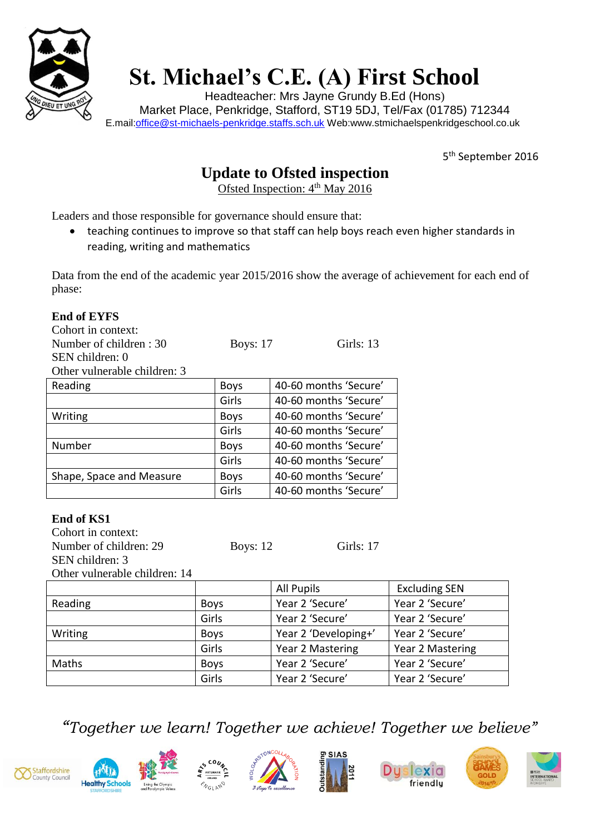

**End of EYFS**

## **St. Michael's C.E. (A) First School**

Headteacher: Mrs Jayne Grundy B.Ed (Hons) Market Place, Penkridge, Stafford, ST19 5DJ, Tel/Fax (01785) 712344 E.mail[:office@st-michaels-penkridge.staffs.sch.uk](mailto:office@st-michaels-penkridge.staffs.sch.uk) Web:www.stmichaelspenkridgeschool.co.uk

5<sup>th</sup> September 2016

## **Update to Ofsted inspection**

Ofsted Inspection: 4<sup>th</sup> May 2016

Leaders and those responsible for governance should ensure that:

 teaching continues to improve so that staff can help boys reach even higher standards in reading, writing and mathematics

Data from the end of the academic year 2015/2016 show the average of achievement for each end of phase:

| Cohort in context:            |                         |                       |                      |
|-------------------------------|-------------------------|-----------------------|----------------------|
| Number of children: 30        | <b>Boys: 17</b>         | Girls: 13             |                      |
| SEN children: 0               |                         |                       |                      |
| Other vulnerable children: 3  |                         |                       |                      |
| Reading                       | <b>Boys</b>             | 40-60 months 'Secure' |                      |
|                               | Girls                   | 40-60 months 'Secure' |                      |
| Writing                       | <b>Boys</b>             | 40-60 months 'Secure' |                      |
|                               | Girls                   | 40-60 months 'Secure' |                      |
| Number                        | <b>Boys</b>             | 40-60 months 'Secure' |                      |
|                               | Girls                   | 40-60 months 'Secure' |                      |
| Shape, Space and Measure      | <b>Boys</b>             | 40-60 months 'Secure' |                      |
|                               | Girls                   | 40-60 months 'Secure' |                      |
|                               |                         |                       |                      |
| <b>End of KS1</b>             |                         |                       |                      |
| Cohort in context:            |                         |                       |                      |
| Number of children: 29        | Girls: 17<br>Boys: $12$ |                       |                      |
| SEN children: 3               |                         |                       |                      |
| Other vulnerable children: 14 |                         |                       |                      |
|                               |                         | <b>All Pupils</b>     | <b>Excluding SEN</b> |
| Reading                       | <b>Boys</b>             | Year 2 'Secure'       | Year 2 'Secure'      |
|                               | Girls                   | Year 2 'Secure'       | Year 2 'Secure'      |
| Writing                       | <b>Boys</b>             | Year 2 'Developing+'  | Year 2 'Secure'      |
|                               | Girls                   | Year 2 Mastering      | Year 2 Mastering     |
| Maths                         | <b>Boys</b>             | Year 2 'Secure'       | Year 2 'Secure'      |
|                               | Girls                   | Year 2 'Secure'       | Year 2 'Secure'      |
|                               |                         |                       |                      |

*"Together we learn! Together we achieve! Together we believe"*